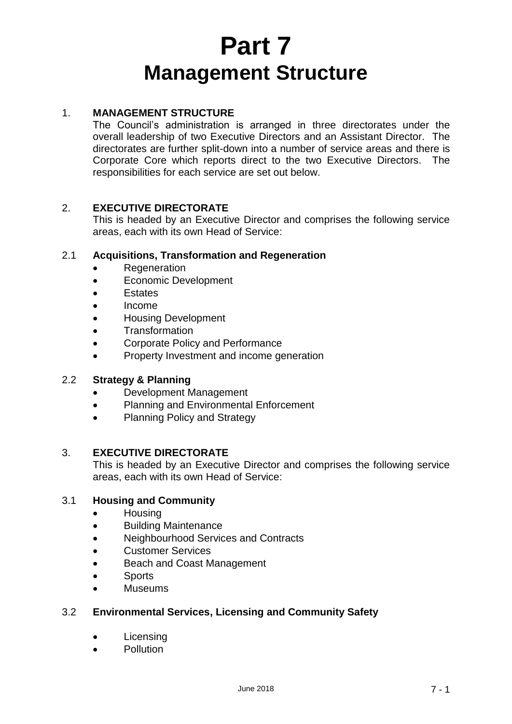# **Part 7 Management Structure**

## 1. **MANAGEMENT STRUCTURE**

The Council's administration is arranged in three directorates under the overall leadership of two Executive Directors and an Assistant Director. The directorates are further split-down into a number of service areas and there is Corporate Core which reports direct to the two Executive Directors. The responsibilities for each service are set out below.

### 2. **EXECUTIVE DIRECTORATE**

This is headed by an Executive Director and comprises the following service areas, each with its own Head of Service:

#### 2.1 **Acquisitions, Transformation and Regeneration**

- **•** Regeneration
- Economic Development
- **Estates**
- Income
- Housing Development
- **Transformation**
- Corporate Policy and Performance
- Property Investment and income generation

#### 2.2 **Strategy & Planning**

- Development Management
- Planning and Environmental Enforcement
- Planning Policy and Strategy

#### 3. **EXECUTIVE DIRECTORATE**

This is headed by an Executive Director and comprises the following service areas, each with its own Head of Service:

#### 3.1 **Housing and Community**

- **Housing**
- Building Maintenance
- Neighbourhood Services and Contracts
- Customer Services
- Beach and Coast Management
- Sports
- Museums

#### 3.2 **Environmental Services, Licensing and Community Safety**

- Licensing
- Pollution